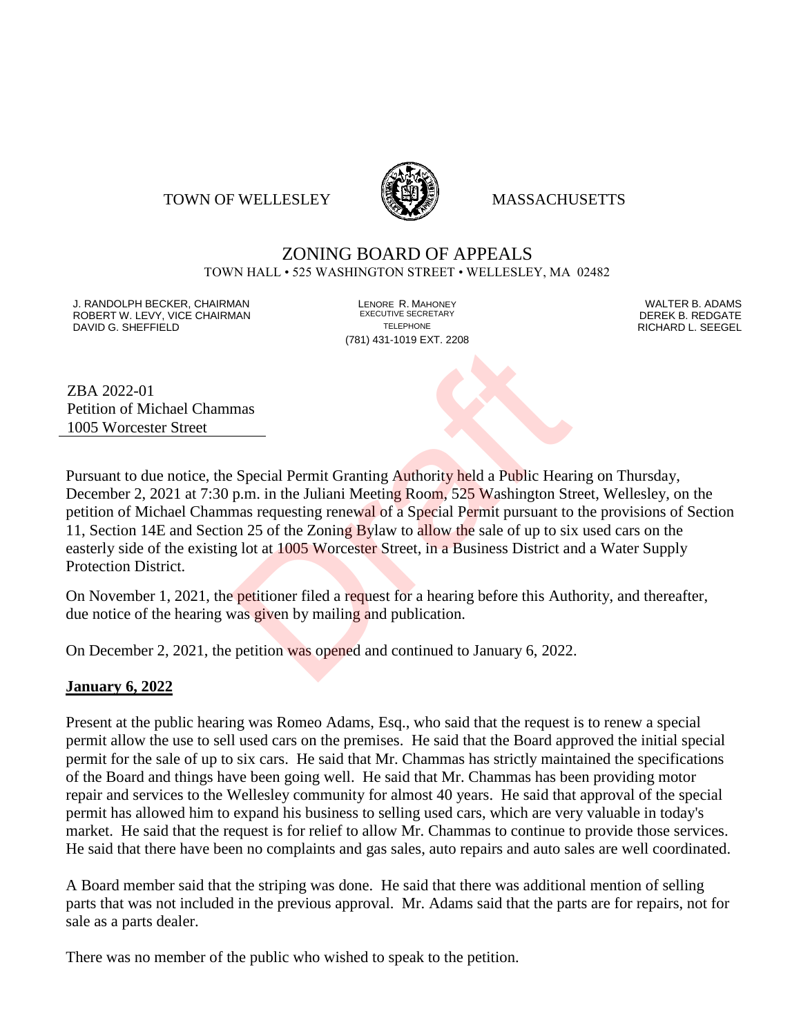#### TOWN OF WELLESLEY **WELLESLEY** MASSACHUSETTS



# ZONING BOARD OF APPEALS

TOWN HALL • 525 WASHINGTON STREET • WELLESLEY, MA 02482

J. RANDOLPH BECKER, CHAIRMAN LENORE R. MAHONEY LENORE R. MAHONEY LENORE RESERVED BY AN ALTER B. ADAMS UNITER B<br>IN ROBERT W. LEVY. VICE CHAIRMAN LETTER AND RESERT ARE EXECUTIVE SECRETARY LETTER TO LETTER BY DEREK B. REDGATE ROBERT W. LEVY, VICE CHAIRMAN EXECUTIVE SECRETARY OF LEVEL CHAIRMAN DAVID G. SHEFFIELD TELEPHONE RICHARD L. SEEGEL

(781) 431-1019 EXT. 2208

ZBA 2022-01 Petition of Michael Chammas 1005 Worcester Street

Pursuant to due notice, the Special Permit Granting Authority held a Public Hearing on Thursday, December 2, 2021 at 7:30 p.m. in the Juliani Meeting Room, 525 Washington Street, Wellesley, on the petition of Michael Chammas requesting renewal of a Special Permit pursuant to the provisions of Section 11, Section 14E and Section 25 of the Zoning Bylaw to allow the sale of up to six used cars on the easterly side of the existing lot at 1005 Worcester Street, in a Business District and a Water Supply Protection District. mas<br>
Special Permit Granting Authority held a Public Hear<br>
p.m. in the Juliani Meeting Room, 525 Washington Strang requesting renewal of a Special Permit pursuant to<br>
point 25 of the Zoning Bylaw to allow the sale of up to

On November 1, 2021, the petitioner filed a request for a hearing before this Authority, and thereafter, due notice of the hearing was given by mailing and publication.

On December 2, 2021, the petition was opened and continued to January 6, 2022.

#### **January 6, 2022**

Present at the public hearing was Romeo Adams, Esq., who said that the request is to renew a special permit allow the use to sell used cars on the premises. He said that the Board approved the initial special permit for the sale of up to six cars. He said that Mr. Chammas has strictly maintained the specifications of the Board and things have been going well. He said that Mr. Chammas has been providing motor repair and services to the Wellesley community for almost 40 years. He said that approval of the special permit has allowed him to expand his business to selling used cars, which are very valuable in today's market. He said that the request is for relief to allow Mr. Chammas to continue to provide those services. He said that there have been no complaints and gas sales, auto repairs and auto sales are well coordinated.

A Board member said that the striping was done. He said that there was additional mention of selling parts that was not included in the previous approval. Mr. Adams said that the parts are for repairs, not for sale as a parts dealer.

There was no member of the public who wished to speak to the petition.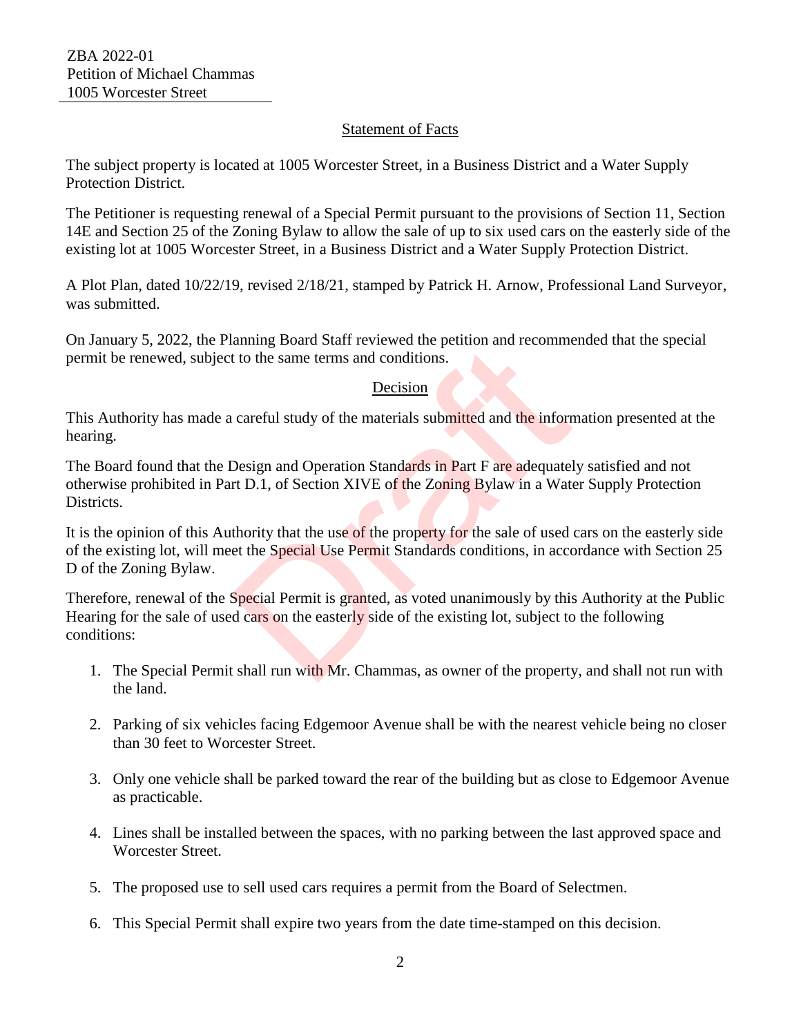### Statement of Facts

The subject property is located at 1005 Worcester Street, in a Business District and a Water Supply Protection District.

The Petitioner is requesting renewal of a Special Permit pursuant to the provisions of Section 11, Section 14E and Section 25 of the Zoning Bylaw to allow the sale of up to six used cars on the easterly side of the existing lot at 1005 Worcester Street, in a Business District and a Water Supply Protection District.

A Plot Plan, dated 10/22/19, revised 2/18/21, stamped by Patrick H. Arnow, Professional Land Surveyor, was submitted.

On January 5, 2022, the Planning Board Staff reviewed the petition and recommended that the special permit be renewed, subject to the same terms and conditions.

#### Decision

This Authority has made a careful study of the materials submitted and the information presented at the hearing.

The Board found that the Design and Operation Standards in Part F are adequately satisfied and not otherwise prohibited in Part D.1, of Section XIVE of the Zoning Bylaw in a Water Supply Protection Districts.

It is the opinion of this Authority that the use of the property for the sale of used cars on the easterly side of the existing lot, will meet the Special Use Permit Standards conditions, in accordance with Section 25 D of the Zoning Bylaw. The same terms and conditions.<br>
Decision<br>
Leads and Conditions.<br>
Decision<br>
Decision<br>
Decision<br>
Careful study of the materials submitted and the inform<br>
Design and Operation Standards in Part F are adequately<br>
The D.1, of S

Therefore, renewal of the Special Permit is granted, as voted unanimously by this Authority at the Public Hearing for the sale of used cars on the easterly side of the existing lot, subject to the following conditions:

- 1. The Special Permit shall run with Mr. Chammas, as owner of the property, and shall not run with the land.
- 2. Parking of six vehicles facing Edgemoor Avenue shall be with the nearest vehicle being no closer than 30 feet to Worcester Street.
- 3. Only one vehicle shall be parked toward the rear of the building but as close to Edgemoor Avenue as practicable.
- 4. Lines shall be installed between the spaces, with no parking between the last approved space and Worcester Street.
- 5. The proposed use to sell used cars requires a permit from the Board of Selectmen.
- 6. This Special Permit shall expire two years from the date time-stamped on this decision.